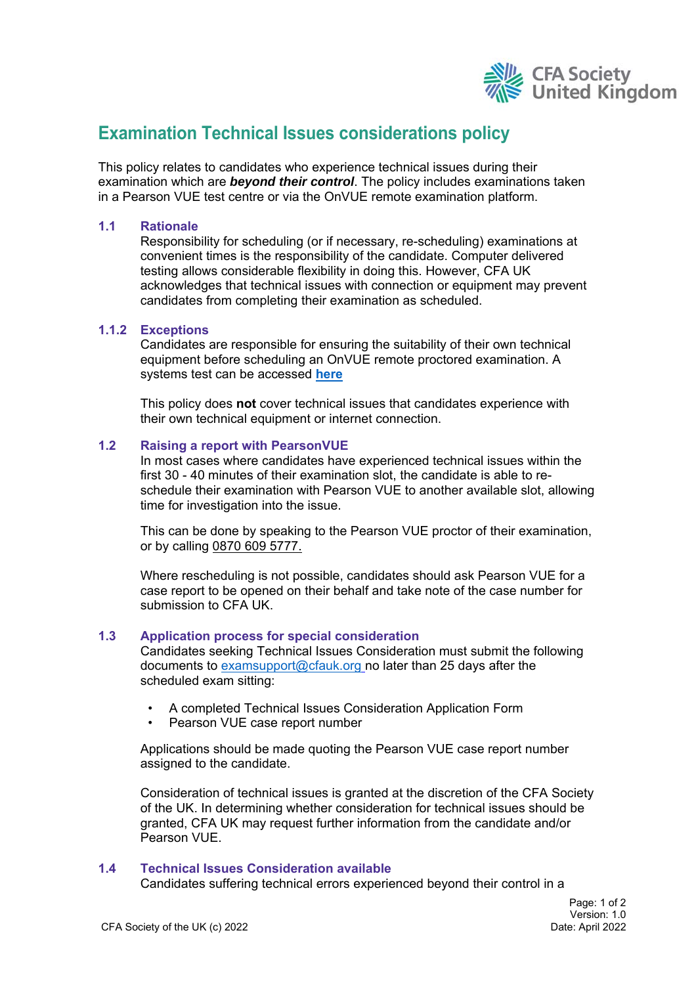

# **Examination Technical Issues considerations policy**

This policy relates to candidates who experience technical issues during their examination which are *beyond their control*. The policy includes examinations taken in a Pearson VUE test centre or via the OnVUE remote examination platform.

# **1.1 Rationale**

Responsibility for scheduling (or if necessary, re-scheduling) examinations at convenient times is the responsibility of the candidate. Computer delivered testing allows considerable flexibility in doing this. However, CFA UK acknowledges that technical issues with connection or equipment may prevent candidates from completing their examination as scheduled.

## **1.1.2 Exceptions**

Candidates are responsible for ensuring the suitability of their own technical equipment before scheduling an OnVUE remote proctored examination. A systems test can be accessed **here**

This policy does **not** cover technical issues that candidates experience with their own technical equipment or internet connection.

## **1.2 Raising a report with PearsonVUE**

In most cases where candidates have experienced technical issues within the first 30 - 40 minutes of their examination slot, the candidate is able to reschedule their examination with Pearson VUE to another available slot, allowing time for investigation into the issue.

This can be done by speaking to the Pearson VUE proctor of their examination, or by calling 0870 609 5777.

Where rescheduling is not possible, candidates should ask Pearson VUE for a case report to be opened on their behalf and take note of the case number for submission to CFA UK.

#### **1.3 Application process for special consideration**

Candidates seeking Technical Issues Consideration must submit the following documents to examsupport@cfauk.org no later than 25 days after the scheduled exam sitting:

- A completed Technical Issues Consideration Application Form
- Pearson VUE case report number

Applications should be made quoting the Pearson VUE case report number assigned to the candidate.

Consideration of technical issues is granted at the discretion of the CFA Society of the UK. In determining whether consideration for technical issues should be granted, CFA UK may request further information from the candidate and/or Pearson VUE.

#### **1.4 Technical Issues Consideration available**

Candidates suffering technical errors experienced beyond their control in a